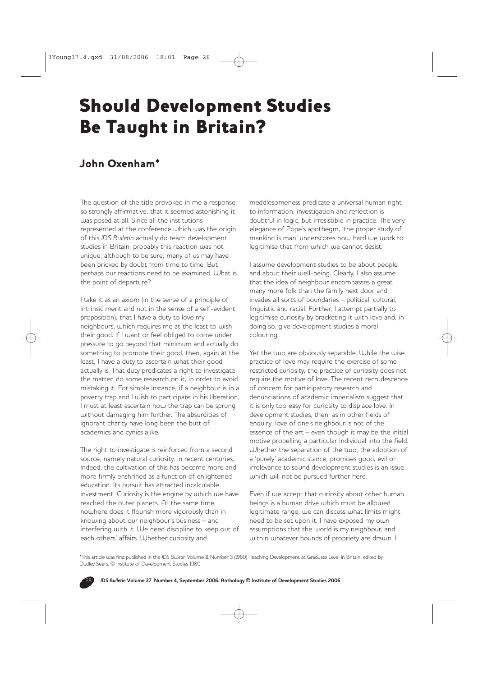## Should Development Studies Be Taught in Britain?

## John Oxenham\*

The question of the title provoked in me a response so strongly affirmative, that it seemed astonishing it was posed at all. Since all the institutions represented at the conference which was the origin of this *IDS Bulletin* actually do teach development studies in Britain, probably this reaction was not unique, although to be sure, many of us may have been pricked by doubt from time to time. But perhaps our reactions need to be examined. What is the point of departure?

I take it as an axiom (in the sense of a principle of intrinsic merit and not in the sense of a self-evident proposition), that I have a duty to love my neighbours, which requires me at the least to wish their good. If I want or feel obliged to come under pressure to go beyond that minimum and actually do something to promote their good, then, again at the least, I have a duty to ascertain what their good actually is. That duty predicates a right to investigate the matter, do some research on it, in order to avoid mistaking it. For simple instance, if a neighbour is in a poverty trap and I wish to participate in his liberation, I must at least ascertain how the trap can be sprung without damaging him further. The absurdities of ignorant charity have long been the butt of academics and cynics alike.

The right to investigate is reinforced from a second source, namely natural curiosity. In recent centuries, indeed, the cultivation of this has become more and more firmly enshrined as a function of enlightened education. Its pursuit has attracted incalculable investment. Curiosity is the engine by which we have reached the outer planets. At the same time, nowhere does it flourish more vigorously than in knowing about our neighbour's business – and interfering with it. We need discipline to keep out of each others' affairs. Whether curiosity and

meddlesomeness predicate a universal human right to information, investigation and reflection is doubtful in logic, but irresistible in practice. The very elegance of Pope's apothegm, 'the proper study of mankind is man' underscores how hard we work to legitimise that from which we cannot desist.

I assume development studies to be about people and about their well-being. Clearly, I also assume that the idea of neighbour encompasses a great many more folk than the family next door and invades all sorts of boundaries – political, cultural, linguistic and racial. Further, I attempt partially to legitimise curiosity by bracketing it with love and, in doing so, give development studies a moral colouring.

Yet the two are obviously separable. While the wise practice of love may require the exercise of some restricted curiosity, the practice of curiosity does not require the motive of love. The recent recrudescence of concern for participatory research and denunciations of academic imperialism suggest that it is only too easy for curiosity to displace love. In development studies, then, as in other fields of enquiry, love of one's neighbour is not of the essence of the art – even though it may be the initial motive propelling a particular individual into the field. Whether the separation of the two, the adoption of a 'purely' academic stance, promises good, evil or irrelevance to sound development studies is an issue which will not be pursued further here.

Even if we accept that curiosity about other human beings is a human drive which must be allowed legitimate range, we can discuss what limits might need to be set upon it. I have exposed my own assumptions that the world is my neighbour, and within whatever bounds of propriety are drawn, I

\*This article was first published in the *IDS Bulletin* Volume 11 Number 3 (1980) 'Teaching Development at Graduate Level in Britain' edited by Dudley Seers. © Institute of Development Studies 1980

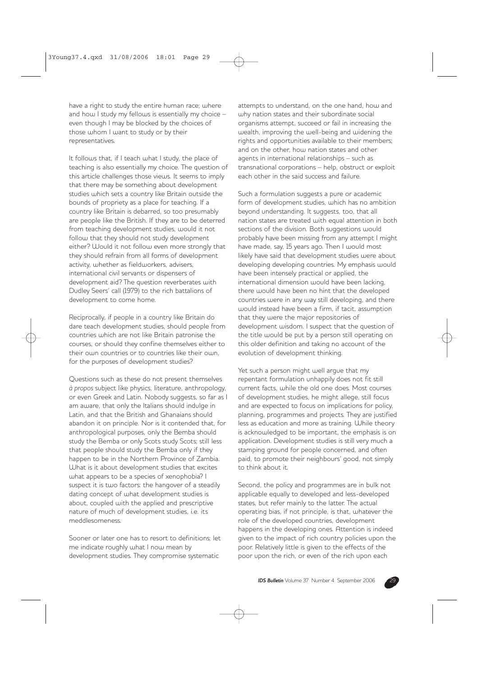have a right to study the entire human race; where and how I study my fellows is essentially my choice – even though I may be blocked by the choices of those whom I want to study or by their representatives.

It follows that, if I teach what I study, the place of teaching is also essentially my choice. The question of this article challenges those views. It seems to imply that there may be something about development studies which sets a country like Britain outside the bounds of propriety as a place for teaching. If a country like Britain is debarred, so too presumably are people like the British. If they are to be deterred from teaching development studies, would it not follow that they should not study development either? Would it not follow even more strongly that they should refrain from all forms of development activity, whether as fieldworkers, advisers, international civil servants or dispensers of development aid? The question reverberates with Dudley Seers' call (1979) to the rich battalions of development to come home.

Reciprocally, if people in a country like Britain do dare teach development studies, should people from countries which are not like Britain patronise the courses, or should they confine themselves either to their own countries or to countries like their own, for the purposes of development studies?

Questions such as these do not present themselves *à propos* subject like physics, literature, anthropology, or even Greek and Latin. Nobody suggests, so far as I am aware, that only the Italians should indulge in Latin, and that the British and Ghanaians should abandon it on principle. Nor is it contended that, for anthropological purposes, only the Bemba should study the Bemba or only Scots study Scots; still less that people should study the Bemba only if they happen to be in the Northern Province of Zambia. What is it about development studies that excites what appears to be a species of xenophobia? I suspect it is two factors: the hangover of a steadily dating concept of what development studies is about, coupled with the applied and prescriptive nature of much of development studies, i.e. its meddlesomeness.

Sooner or later one has to resort to definitions; let me indicate roughly what I now mean by development studies. They compromise systematic

attempts to understand, on the one hand, how and why nation states and their subordinate social organisms attempt, succeed or fail in increasing the wealth, improving the well-being and widening the rights and opportunities available to their members; and on the other, how nation states and other agents in international relationships – such as transnational corporations – help, obstruct or exploit each other in the said success and failure.

Such a formulation suggests a pure or academic form of development studies, which has no ambition beyond understanding. It suggests, too, that all nation states are treated with equal attention in both sections of the division. Both suggestions would probably have been missing from any attempt I might have made, say, 15 years ago. Then I would most likely have said that development studies were about developing developing countries. My emphasis would have been intensely practical or applied, the international dimension would have been lacking, there would have been no hint that the developed countries were in any way still developing, and there would instead have been a firm, if tacit, assumption that they were the major repositories of development wisdom. I suspect that the question of the title would be put by a person still operating on this older definition and taking no account of the evolution of development thinking.

Yet such a person might well argue that my repentant formulation unhappily does not fit still current facts, while the old one does. Most courses of development studies, he might allege, still focus and are expected to focus on implications for policy, planning, programmes and projects. They are justified less as education and more as training. While theory is acknowledged to be important, the emphasis is on application. Development studies is still very much a stamping ground for people concerned, and often paid, to promote their neighbours' good, not simply to think about it.

Second, the policy and programmes are in bulk not applicable equally to developed and less-developed states, but refer mainly to the latter. The actual operating bias, if not principle, is that, whatever the role of the developed countries, development happens in the developing ones. Attention is indeed given to the impact of rich country policies upon the poor. Relatively little is given to the effects of the poor upon the rich, or even of the rich upon each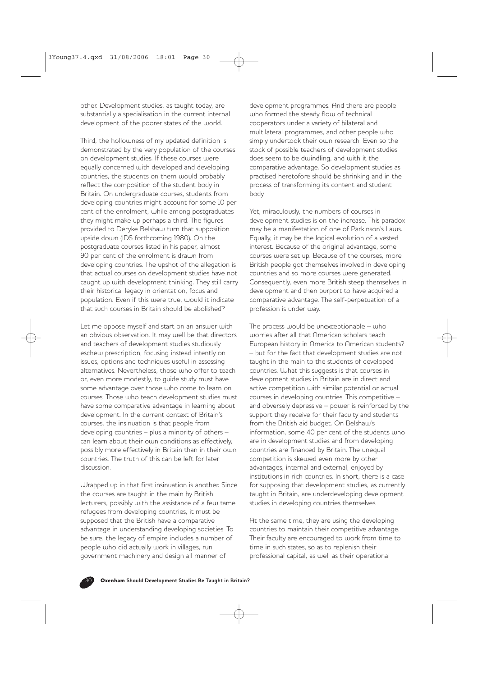other. Development studies, as taught today, are substantially a specialisation in the current internal development of the poorer states of the world.

Third, the hollowness of my updated definition is demonstrated by the very population of the courses on development studies. If these courses were equally concerned with developed and developing countries, the students on them would probably reflect the composition of the student body in Britain. On undergraduate courses, students from developing countries might account for some 10 per cent of the enrolment, while among postgraduates they might make up perhaps a third. The figures provided to Deryke Belshaw turn that supposition upside down (IDS forthcoming 1980). On the postgraduate courses listed in his paper, almost 90 per cent of the enrolment is drawn from developing countries. The upshot of the allegation is that actual courses on development studies have not caught up with development thinking. They still carry their historical legacy in orientation, focus and population. Even if this were true, would it indicate that such courses in Britain should be abolished?

Let me oppose myself and start on an answer with an obvious observation. It may well be that directors and teachers of development studies studiously eschew prescription, focusing instead intently on issues, options and techniques useful in assessing alternatives. Nevertheless, those who offer to teach or, even more modestly, to guide study must have some advantage over those who come to learn on courses. Those who teach development studies must have some comparative advantage in learning about development. In the current context of Britain's courses, the insinuation is that people from developing countries – plus a minority of others – can learn about their own conditions as effectively, possibly more effectively in Britain than in their own countries. The truth of this can be left for later discussion.

Wrapped up in that first insinuation is another. Since the courses are taught in the main by British lecturers, possibly with the assistance of a few tame refugees from developing countries, it must be supposed that the British have a comparative advantage in understanding developing societies. To be sure, the legacy of empire includes a number of people who did actually work in villages, run government machinery and design all manner of

development programmes. And there are people who formed the steady flow of technical cooperators under a variety of bilateral and multilateral programmes, and other people who simply undertook their own research. Even so the stock of possible teachers of development studies does seem to be dwindling, and with it the comparative advantage. So development studies as practised heretofore should be shrinking and in the process of transforming its content and student body.

Yet, miraculously, the numbers of courses in development studies is on the increase. This paradox may be a manifestation of one of Parkinson's Laws. Equally, it may be the logical evolution of a vested interest. Because of the original advantage, some courses were set up. Because of the courses, more British people got themselves involved in developing countries and so more courses were generated. Consequently, even more British steep themselves in development and then purport to have acquired a comparative advantage. The self-perpetuation of a profession is under way.

The process would be unexceptionable – who worries after all that American scholars teach European history in America to American students? – but for the fact that development studies are not taught in the main to the students of developed countries. What this suggests is that courses in development studies in Britain are in direct and active competition with similar potential or actual courses in developing countries. This competitive – and obversely depressive – power is reinforced by the support they receive for their faculty and students from the British aid budget. On Belshaw's information, some 40 per cent of the students who are in development studies and from developing countries are financed by Britain. The unequal competition is skewed even more by other advantages, internal and external, enjoyed by institutions in rich countries. In short, there is a case for supposing that development studies, as currently taught in Britain, are underdeveloping development studies in developing countries themselves.

At the same time, they are using the developing countries to maintain their competitive advantage. Their faculty are encouraged to work from time to time in such states, so as to replenish their professional capital, as well as their operational

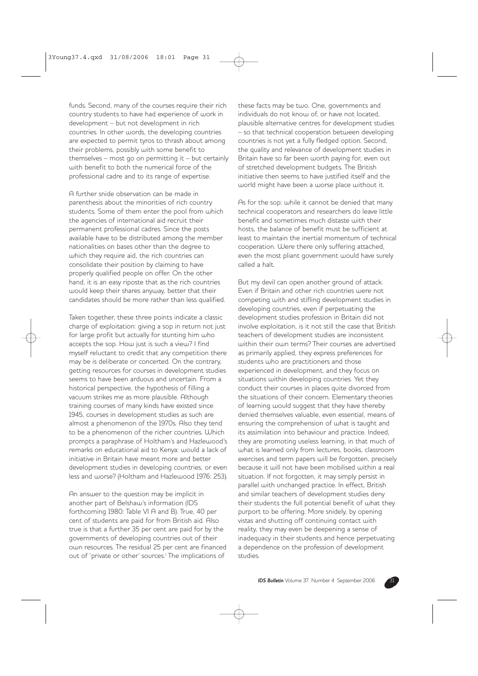funds. Second, many of the courses require their rich country students to have had experience of work in development – but not development in rich countries. In other words, the developing countries are expected to permit tyros to thrash about among their problems, possibly with some benefit to themselves – most go on permitting  $it$  – but certainly with benefit to both the numerical force of the professional cadre and to its range of expertise.

A further snide observation can be made in parenthesis about the minorities of rich country students. Some of them enter the pool from which the agencies of international aid recruit their permanent professional cadres. Since the posts available have to be distributed among the member nationalities on bases other than the degree to which they require aid, the rich countries can consolidate their position by claiming to have properly qualified people on offer. On the other hand, it is an easy riposte that as the rich countries would keep their shares anyway, better that their candidates should be more rather than less qualified.

Taken together, these three points indicate a classic charge of exploitation: giving a sop in return not just for large profit but actually for stunting him who accepts the sop. How just is such a view? I find myself reluctant to credit that any competition there may be is deliberate or concerted. On the contrary, getting resources for courses in development studies seems to have been arduous and uncertain. From a historical perspective, the hypothesis of filling a vacuum strikes me as more plausible. Although training courses of many kinds have existed since 1945, courses in development studies as such are almost a phenomenon of the 1970s. Also they tend to be a phenomenon of the richer countries. Which prompts a paraphrase of Holtham's and Hazlewood's remarks on educational aid to Kenya: would a lack of initiative in Britain have meant more and better development studies in developing countries, or even less and worse? (Holtham and Hazlewood 1976: 253).

An answer to the question may be implicit in another part of Belshaw's information (IDS forthcoming 1980: Table VI A and B). True, 40 per cent of students are paid for from British aid. Also true is that a further 35 per cent are paid for by the governments of developing countries out of their own resources. The residual 25 per cent are financed out of 'private or other' sources.<sup>1</sup> The implications of

these facts may be two. One, governments and individuals do not know of, or have not located, plausible alternative centres for development studies – so that technical cooperation between developing countries is not yet a fully fledged option. Second, the quality and relevance of development studies in Britain have so far been worth paying for, even out of stretched development budgets. The British initiative then seems to have justified itself and the world might have been a worse place without it.

As for the sop: while it cannot be denied that many technical cooperators and researchers do leave little benefit and sometimes much distaste with their hosts, the balance of benefit must be sufficient at least to maintain the inertial momentum of technical cooperation. Were there only suffering attached, even the most pliant government would have surely called a halt.

But my devil can open another ground of attack. Even if Britain and other rich countries were not competing with and stifling development studies in developing countries, even if perpetuating the development studies profession in Britain did not involve exploitation, is it not still the case that British teachers of development studies are inconsistent within their own terms? Their courses are advertised as primarily applied, they express preferences for students who are practitioners and those experienced in development, and they focus on situations within developing countries. Yet they conduct their courses in places quite divorced from the situations of their concern. Elementary theories of learning would suggest that they have thereby denied themselves valuable, even essential, means of ensuring the comprehension of what is taught and its assimilation into behaviour and practice. Indeed, they are promoting useless learning, in that much of what is learned only from lectures, books, classroom exercises and term papers will be forgotten, precisely because it will not have been mobilised within a real situation. If not forgotten, it may simply persist in parallel with unchanged practice. In effect, British and similar teachers of development studies deny their students the full potential benefit of what they purport to be offering. More snidely, by opening vistas and shutting off continuing contact with reality, they may even be deepening a sense of inadequacy in their students and hence perpetuating a dependence on the profession of development studies.